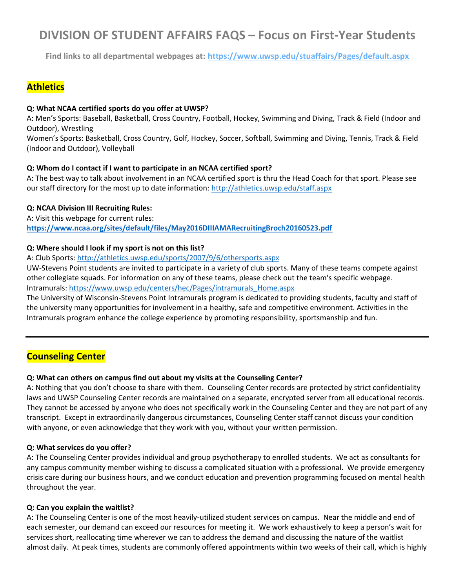# **DIVISION OF STUDENT AFFAIRS FAQS – Focus on First-Year Students**

**Find links to all departmental webpages at:<https://www.uwsp.edu/stuaffairs/Pages/default.aspx>**

# **Athletics**

#### **Q: What NCAA certified sports do you offer at UWSP?**

A: Men's Sports: Baseball, Basketball, Cross Country, Football, Hockey, Swimming and Diving, Track & Field (Indoor and Outdoor), Wrestling

Women's Sports: Basketball, Cross Country, Golf, Hockey, Soccer, Softball, Swimming and Diving, Tennis, Track & Field (Indoor and Outdoor), Volleyball

#### **Q: Whom do I contact if I want to participate in an NCAA certified sport?**

A: The best way to talk about involvement in an NCAA certified sport is thru the Head Coach for that sport. Please see our staff directory for the most up to date information: http://athletics.uwsp.edu/staff.aspx

### **Q: NCAA Division III Recruiting Rules:**

A: Visit this webpage for current rules: **<https://www.ncaa.org/sites/default/files/May2016DIIIAMARecruitingBroch20160523.pdf>**

#### **Q: Where should I look if my sport is not on this list?**

#### A: Club Sports:<http://athletics.uwsp.edu/sports/2007/9/6/othersports.aspx>

UW-Stevens Point students are invited to participate in a variety of club sports. Many of these teams compete against other collegiate squads. For information on any of these teams, please check out the team's specific webpage. Intramurals: [https://www.uwsp.edu/centers/hec/Pages/intramurals\\_Home.aspx](https://www.uwsp.edu/centers/hec/Pages/intramurals_Home.aspx)

The University of Wisconsin-Stevens Point Intramurals program is dedicated to providing students, faculty and staff of the university many opportunities for involvement in a healthy, safe and competitive environment. Activities in the Intramurals program enhance the college experience by promoting responsibility, sportsmanship and fun.

# **Counseling Center**

### **Q: What can others on campus find out about my visits at the Counseling Center?**

A: Nothing that you don't choose to share with them. Counseling Center records are protected by strict confidentiality laws and UWSP Counseling Center records are maintained on a separate, encrypted server from all educational records. They cannot be accessed by anyone who does not specifically work in the Counseling Center and they are not part of any transcript. Except in extraordinarily dangerous circumstances, Counseling Center staff cannot discuss your condition with anyone, or even acknowledge that they work with you, without your written permission.

#### **Q: What services do you offer?**

A: The Counseling Center provides individual and group psychotherapy to enrolled students. We act as consultants for any campus community member wishing to discuss a complicated situation with a professional. We provide emergency crisis care during our business hours, and we conduct education and prevention programming focused on mental health throughout the year.

#### **Q: Can you explain the waitlist?**

A: The Counseling Center is one of the most heavily-utilized student services on campus. Near the middle and end of each semester, our demand can exceed our resources for meeting it. We work exhaustively to keep a person's wait for services short, reallocating time wherever we can to address the demand and discussing the nature of the waitlist almost daily. At peak times, students are commonly offered appointments within two weeks of their call, which is highly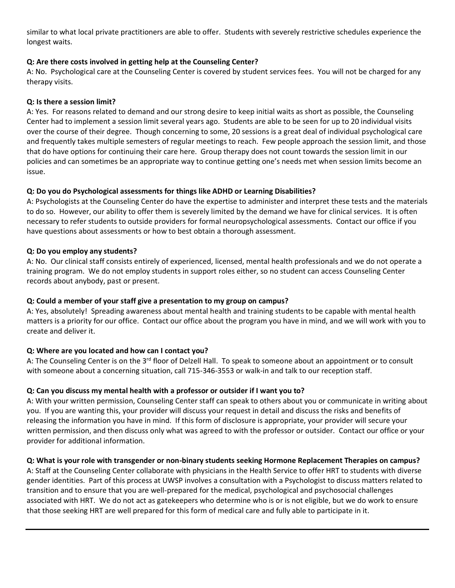similar to what local private practitioners are able to offer. Students with severely restrictive schedules experience the longest waits.

### **Q: Are there costs involved in getting help at the Counseling Center?**

A: No. Psychological care at the Counseling Center is covered by student services fees. You will not be charged for any therapy visits.

#### **Q: Is there a session limit?**

A: Yes. For reasons related to demand and our strong desire to keep initial waits as short as possible, the Counseling Center had to implement a session limit several years ago. Students are able to be seen for up to 20 individual visits over the course of their degree. Though concerning to some, 20 sessions is a great deal of individual psychological care and frequently takes multiple semesters of regular meetings to reach. Few people approach the session limit, and those that do have options for continuing their care here. Group therapy does not count towards the session limit in our policies and can sometimes be an appropriate way to continue getting one's needs met when session limits become an issue.

#### **Q: Do you do Psychological assessments for things like ADHD or Learning Disabilities?**

A: Psychologists at the Counseling Center do have the expertise to administer and interpret these tests and the materials to do so. However, our ability to offer them is severely limited by the demand we have for clinical services. It is often necessary to refer students to outside providers for formal neuropsychological assessments. Contact our office if you have questions about assessments or how to best obtain a thorough assessment.

#### **Q: Do you employ any students?**

A: No. Our clinical staff consists entirely of experienced, licensed, mental health professionals and we do not operate a training program. We do not employ students in support roles either, so no student can access Counseling Center records about anybody, past or present.

#### **Q: Could a member of your staff give a presentation to my group on campus?**

A: Yes, absolutely! Spreading awareness about mental health and training students to be capable with mental health matters is a priority for our office. Contact our office about the program you have in mind, and we will work with you to create and deliver it.

### **Q: Where are you located and how can I contact you?**

A: The Counseling Center is on the 3<sup>rd</sup> floor of Delzell Hall. To speak to someone about an appointment or to consult with someone about a concerning situation, call 715-346-3553 or walk-in and talk to our reception staff.

### **Q: Can you discuss my mental health with a professor or outsider if I want you to?**

A: With your written permission, Counseling Center staff can speak to others about you or communicate in writing about you. If you are wanting this, your provider will discuss your request in detail and discuss the risks and benefits of releasing the information you have in mind. If this form of disclosure is appropriate, your provider will secure your written permission, and then discuss only what was agreed to with the professor or outsider. Contact our office or your provider for additional information.

### **Q: What is your role with transgender or non-binary students seeking Hormone Replacement Therapies on campus?**

A: Staff at the Counseling Center collaborate with physicians in the Health Service to offer HRT to students with diverse gender identities. Part of this process at UWSP involves a consultation with a Psychologist to discuss matters related to transition and to ensure that you are well-prepared for the medical, psychological and psychosocial challenges associated with HRT. We do not act as gatekeepers who determine who is or is not eligible, but we do work to ensure that those seeking HRT are well prepared for this form of medical care and fully able to participate in it.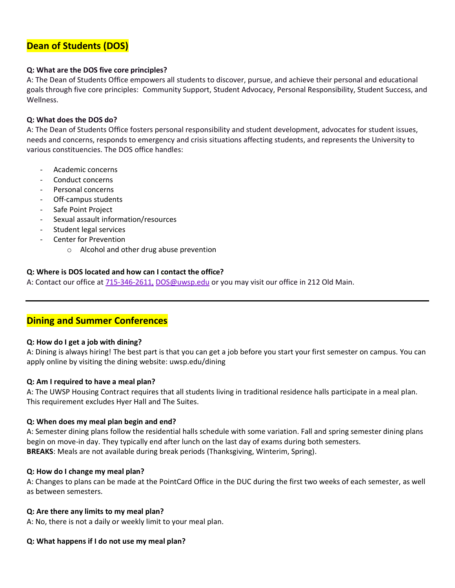# **Dean of Students (DOS)**

#### **Q: What are the DOS five core principles?**

A: The Dean of Students Office empowers all students to discover, pursue, and achieve their personal and educational goals through five core principles: Community Support, Student Advocacy, Personal Responsibility, Student Success, and Wellness.

#### **Q: What does the DOS do?**

A: The Dean of Students Office fosters personal responsibility and student development, advocates for student issues, needs and concerns, responds to emergency and crisis situations affecting students, and represents the University to various constituencies. The DOS office handles:

- Academic concerns
- Conduct concerns
- Personal concerns
- Off-campus students
- Safe Point Project
- Sexual assault information/resources
- Student legal services
- Center for Prevention
	- o Alcohol and other drug abuse prevention

#### **Q: Where is DOS located and how can I contact the office?**

A: Contact our office at [715-346-2611,](tel:%20715-346-2611) [DOS@uwsp.edu](mailto:DOS@uwsp.edu) or you may visit our office in 212 Old Main.

# **Dining and Summer Conferences**

#### **Q: How do I get a job with dining?**

A: Dining is always hiring! The best part is that you can get a job before you start your first semester on campus. You can apply online by visiting the dining website: uwsp.edu/dining

#### **Q: Am I required to have a meal plan?**

A: The UWSP Housing Contract requires that all students living in traditional residence halls participate in a meal plan. This requirement excludes Hyer Hall and The Suites.

#### **Q: When does my meal plan begin and end?**

A: Semester dining plans follow the residential halls schedule with some variation. Fall and spring semester dining plans begin on move-in day. They typically end after lunch on the last day of exams during both semesters. **BREAKS**: Meals are not available during break periods (Thanksgiving, Winterim, Spring).

#### **Q: How do I change my meal plan?**

A: Changes to plans can be made at the PointCard Office in the DUC during the first two weeks of each semester, as well as between semesters.

#### **Q: Are there any limits to my meal plan?**

A: No, there is not a daily or weekly limit to your meal plan.

#### **Q: What happens if I do not use my meal plan?**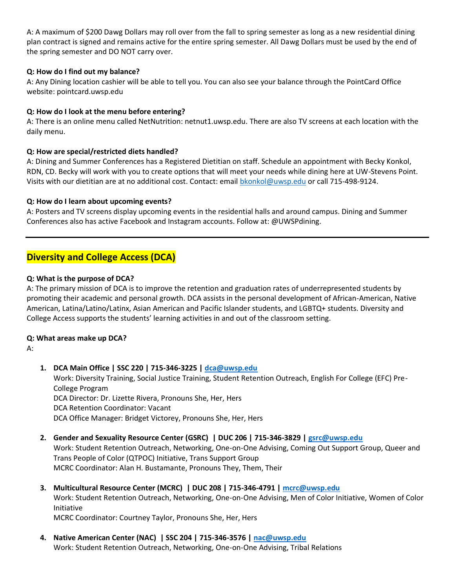A: A maximum of \$200 Dawg Dollars may roll over from the fall to spring semester as long as a new residential dining plan contract is signed and remains active for the entire spring semester. All Dawg Dollars must be used by the end of the spring semester and DO NOT carry over.

#### **Q: How do I find out my balance?**

A: Any Dining location cashier will be able to tell you. You can also see your balance through the PointCard Office website: pointcard.uwsp.edu

#### **Q: How do I look at the menu before entering?**

A: There is an online menu called NetNutrition: netnut1.uwsp.edu. There are also TV screens at each location with the daily menu.

#### **Q: How are special/restricted diets handled?**

A: Dining and Summer Conferences has a Registered Dietitian on staff. Schedule an appointment with Becky Konkol, RDN, CD. Becky will work with you to create options that will meet your needs while dining here at UW-Stevens Point. Visits with our dietitian are at no additional cost. Contact: email [bkonkol@uwsp.edu](mailto:bkonkol@uwsp.edu) or call 715-498-9124.

#### **Q: How do I learn about upcoming events?**

A: Posters and TV screens display upcoming events in the residential halls and around campus. Dining and Summer Conferences also has active Facebook and Instagram accounts. Follow at: @UWSPdining.

# **Diversity and College Access (DCA)**

#### **Q: What is the purpose of DCA?**

A: The primary mission of DCA is to improve the retention and graduation rates of underrepresented students by promoting their academic and personal growth. DCA assists in the personal development of African-American, Native American, Latina/Latino/Latinx, Asian American and Pacific Islander students, and LGBTQ+ students. Diversity and College Access supports the students' learning activities in and out of the classroom setting.

#### **Q: What areas make up DCA?**

A:

**1. DCA Main Office | SSC 220 | 715-346-3225 | [dca@uwsp.edu](mailto:dca@uwsp.edu)** Work: Diversity Training, Social Justice Training, Student Retention Outreach, English For College (EFC) Pre-College Program DCA Director: Dr. Lizette Rivera, Pronouns She, Her, Hers DCA Retention Coordinator: Vacant DCA Office Manager: Bridget Victorey, Pronouns She, Her, Hers

### **2. Gender and Sexuality Resource Center (GSRC) | DUC 206 | 715-346-3829 | [gsrc@uwsp.edu](mailto:gsrc@uwsp.edu)**

Work: Student Retention Outreach, Networking, One-on-One Advising, Coming Out Support Group, Queer and Trans People of Color (QTPOC) Initiative, Trans Support Group MCRC Coordinator: Alan H. Bustamante, Pronouns They, Them, Their

**3. Multicultural Resource Center (MCRC) | DUC 208 | 715-346-4791 [| mcrc@uwsp.edu](mailto:mcrc@uwsp.edu)** Work: Student Retention Outreach, Networking, One-on-One Advising, Men of Color Initiative, Women of Color Initiative

MCRC Coordinator: Courtney Taylor, Pronouns She, Her, Hers

**4. Native American Center (NAC) | SSC 204 | 715-346-3576 | [nac@uwsp.edu](mailto:nac@uwsp.edu)** Work: Student Retention Outreach, Networking, One-on-One Advising, Tribal Relations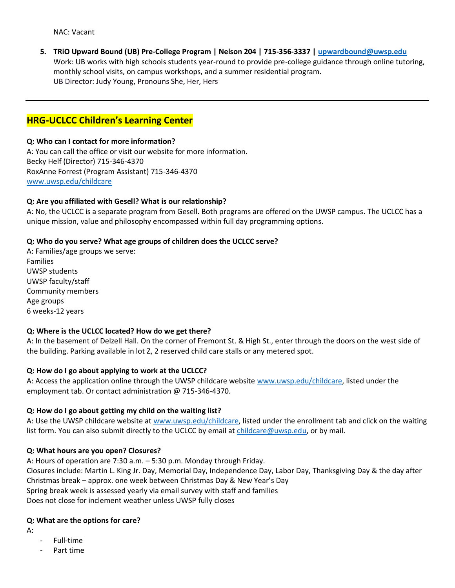**5. TRiO Upward Bound (UB) Pre-College Program | Nelson 204 | 715-356-3337 | [upwardbound@uwsp.edu](mailto:upwardbound@uwsp.edu)** Work: UB works with high schools students year-round to provide pre-college guidance through online tutoring, monthly school visits, on campus workshops, and a summer residential program. UB Director: Judy Young, Pronouns She, Her, Hers

## **HRG-UCLCC Children's Learning Center**

#### **Q: Who can I contact for more information?**

A: You can call the office or visit our website for more information. Becky Helf (Director) 715-346-4370 RoxAnne Forrest (Program Assistant) 715-346-4370 [www.uwsp.edu/childcare](http://www.uwsp.edu/childcare)

#### **Q: Are you affiliated with Gesell? What is our relationship?**

A: No, the UCLCC is a separate program from Gesell. Both programs are offered on the UWSP campus. The UCLCC has a unique mission, value and philosophy encompassed within full day programming options.

#### **Q: Who do you serve? What age groups of children does the UCLCC serve?**

A: Families/age groups we serve: Families UWSP students UWSP faculty/staff Community members Age groups 6 weeks-12 years

#### **Q: Where is the UCLCC located? How do we get there?**

A: In the basement of Delzell Hall. On the corner of Fremont St. & High St., enter through the doors on the west side of the building. Parking available in lot Z, 2 reserved child care stalls or any metered spot.

#### **Q: How do I go about applying to work at the UCLCC?**

A: Access the application online through the UWSP childcare website [www.uwsp.edu/childcare,](http://www.uwsp.edu/childcare) listed under the employment tab. Or contact administration @ 715-346-4370.

#### **Q: How do I go about getting my child on the waiting list?**

A: Use the UWSP childcare website at [www.uwsp.edu/childcare,](http://www.uwsp.edu/childcare) listed under the enrollment tab and click on the waiting list form. You can also submit directly to the UCLCC by email at [childcare@uwsp.edu,](mailto:childcare@uwsp.edu) or by mail.

#### **Q: What hours are you open? Closures?**

A: Hours of operation are 7:30 a.m. – 5:30 p.m. Monday through Friday. Closures include: Martin L. King Jr. Day, Memorial Day, Independence Day, Labor Day, Thanksgiving Day & the day after Christmas break – approx. one week between Christmas Day & New Year's Day Spring break week is assessed yearly via email survey with staff and families Does not close for inclement weather unless UWSP fully closes

#### **Q: What are the options for care?**

A:

- Full-time
- Part time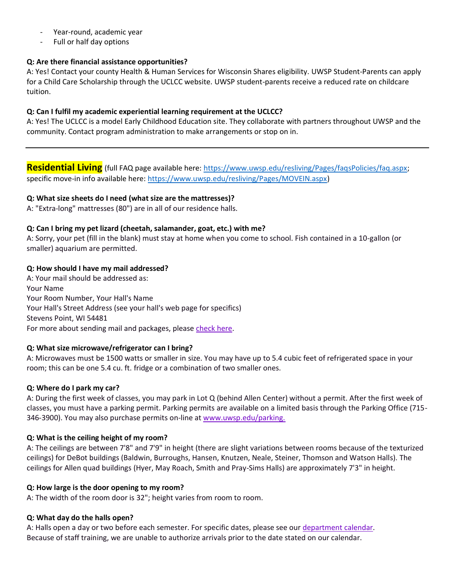- Year-round, academic year
- Full or half day options

#### **Q: Are there financial assistance opportunities?**

A: Yes! Contact your county Health & Human Services for Wisconsin Shares eligibility. UWSP Student-Parents can apply for a Child Care Scholarship through the UCLCC website. UWSP student-parents receive a reduced rate on childcare tuition.

#### **Q: Can I fulfil my academic experiential learning requirement at the UCLCC?**

A: Yes! The UCLCC is a model Early Childhood Education site. They collaborate with partners throughout UWSP and the community. Contact program administration to make arrangements or stop on in.

**Residential Living** (full FAQ page available here: [https://www.uwsp.edu/resliving/Pages/faqsPolicies/faq.aspx;](https://www.uwsp.edu/resliving/Pages/faqsPolicies/faq.aspx) specific move-in info available here: [https://www.uwsp.edu/resliving/Pages/MOVEIN.aspx\)](https://www.uwsp.edu/resliving/Pages/MOVEIN.aspx)

#### **Q: What size sheets do I need (what size are the mattresses)?**

A: "Extra-long" mattresses (80") are in all of our residence halls.

#### **Q: Can I bring my pet lizard (cheetah, salamander, goat, etc.) with me?**

A: Sorry, your pet (fill in the blank) must stay at home when you come to school. Fish contained in a 10-gallon (or smaller) aquarium are permitted.

#### **Q: How should I have my mail addressed?**

A: Your mail should be addressed as: Your Name Your Room Number, Your Hall's Name Your Hall's Street Address (see your hall's web page for specifics) Stevens Point, WI 54481 For more about sending mail and packages, please [check here.](https://www.uwsp.edu/resliving/Pages/mail.aspx)

### **Q: What size microwave/refrigerator can I bring?**

A: Microwaves must be 1500 watts or smaller in size. You may have up to 5.4 cubic feet of refrigerated space in your room; this can be one 5.4 cu. ft. fridge or a combination of two smaller ones.

#### **Q: Where do I park my car?**

A: During the first week of classes, you may park in Lot Q (behind Allen Center) without a permit. After the first week of classes, you must have a parking permit. Parking permits are available on a limited basis through the Parking Office (715- 346-3900). You may also purchase permits on-line a[t www.uwsp.edu/parking.](https://www.uwsp.edu/parking)

#### **Q: What is the ceiling height of my room?**

A: The ceilings are between 7'8" and 7'9" in height (there are slight variations between rooms because of the texturized ceilings) for DeBot buildings (Baldwin, Burroughs, Hansen, Knutzen, Neale, Steiner, Thomson and Watson Halls). The ceilings for Allen quad buildings (Hyer, May Roach, Smith and Pray-Sims Halls) are approximately 7'3" in height.

#### **Q: How large is the door opening to my room?**

A: The width of the room door is 32"; height varies from room to room.

#### **Q: What day do the halls open?**

A: Halls open a day or two before each semester. For specific dates, please see our [department calendar.](https://www.uwsp.edu/resliving/Pages/faqsPolicies/calendar.aspx) Because of staff training, we are unable to authorize arrivals prior to the date stated on our calendar.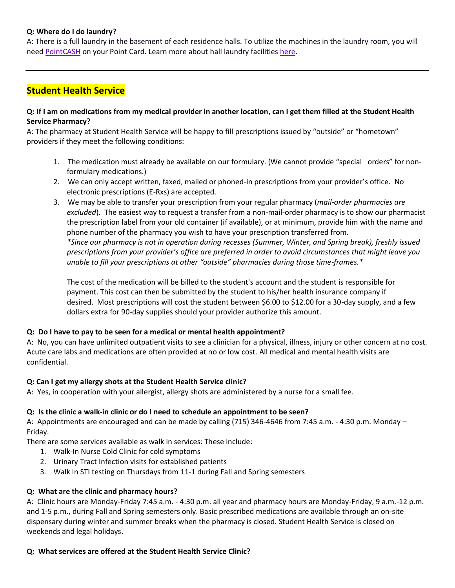#### **Q: Where do I do laundry?**

A: There is a full laundry in the basement of each residence halls. To utilize the machines in the laundry room, you will need [PointCASH](http://pointcard.uwsp.edu/) on your Point Card. Learn more about hall laundry facilities [here.](https://www.uwsp.edu/resliving/Pages/hallsRooms/laundry.aspx)

## **Student Health Service**

#### **Q: If I am on medications from my medical provider in another location, can I get them filled at the Student Health Service Pharmacy?**

A: The pharmacy at Student Health Service will be happy to fill prescriptions issued by "outside" or "hometown" providers if they meet the following conditions:

- 1. The medication must already be available on our formulary. (We cannot provide "special orders" for nonformulary medications.)
- 2. We can only accept written, faxed, mailed or phoned-in prescriptions from your provider's office. No electronic prescriptions (E-Rxs) are accepted.
- 3. We may be able to transfer your prescription from your regular pharmacy (*mail-order pharmacies are excluded*). The easiest way to request a transfer from a non-mail-order pharmacy is to show our pharmacist the prescription label from your old container (if available), or at minimum, provide him with the name and phone number of the pharmacy you wish to have your prescription transferred from. *\*Since our pharmacy is not in operation during recesses (Summer, Winter, and Spring break), freshly issued prescriptions from your provider's office are preferred in order to avoid circumstances that might leave you unable to fill your prescriptions at other "outside" pharmacies during those time-frames.\**

The cost of the medication will be billed to the student's account and the student is responsible for payment. This cost can then be submitted by the student to his/her health insurance company if desired. Most prescriptions will cost the student between \$6.00 to \$12.00 for a 30-day supply, and a few dollars extra for 90-day supplies should your provider authorize this amount.

#### **Q: Do I have to pay to be seen for a medical or mental health appointment?**

A: No, you can have unlimited outpatient visits to see a clinician for a physical, illness, injury or other concern at no cost. Acute care labs and medications are often provided at no or low cost. All medical and mental health visits are confidential.

#### **Q: Can I get my allergy shots at the Student Health Service clinic?**

A: Yes, in cooperation with your allergist, allergy shots are administered by a nurse for a small fee.

#### **Q: Is the clinic a walk-in clinic or do I need to schedule an appointment to be seen?**

A: Appointments are encouraged and can be made by calling (715) 346-4646 from 7:45 a.m. - 4:30 p.m. Monday – Friday.

There are some services available as walk in services: These include:

- 1. Walk-In Nurse Cold Clinic for cold symptoms
- 2. Urinary Tract Infection visits for established patients
- 3. Walk In STI testing on Thursdays from 11-1 during Fall and Spring semesters

#### **Q: What are the clinic and pharmacy hours?**

A: Clinic hours are Monday-Friday 7:45 a.m. - 4:30 p.m. all year and pharmacy hours are Monday-Friday, 9 a.m.-12 p.m. and 1-5 p.m., during Fall and Spring semesters only. Basic prescribed medications are available through an on-site dispensary during winter and summer breaks when the pharmacy is closed. Student Health Service is closed on weekends and legal holidays.

#### **Q: What services are offered at the Student Health Service Clinic?**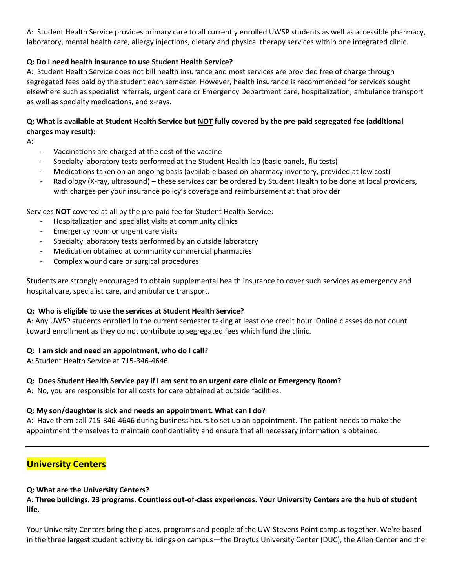A: Student Health Service provides primary care to all currently enrolled UWSP students as well as accessible pharmacy, laboratory, mental health care, allergy injections, dietary and physical therapy services within one integrated clinic.

### **Q: Do I need health insurance to use Student Health Service?**

A: Student Health Service does not bill health insurance and most services are provided free of charge through segregated fees paid by the student each semester. However, health insurance is recommended for services sought elsewhere such as specialist referrals, urgent care or Emergency Department care, hospitalization, ambulance transport as well as specialty medications, and x-rays.

### **Q: What is available at Student Health Service but NOT fully covered by the pre-paid segregated fee (additional charges may result):**

A:

- Vaccinations are charged at the cost of the vaccine
- Specialty laboratory tests performed at the Student Health lab (basic panels, flu tests)
- Medications taken on an ongoing basis (available based on pharmacy inventory, provided at low cost)
- Radiology (X-ray, ultrasound) these services can be ordered by Student Health to be done at local providers, with charges per your insurance policy's coverage and reimbursement at that provider

Services **NOT** covered at all by the pre-paid fee for Student Health Service:

- Hospitalization and specialist visits at community clinics
- Emergency room or urgent care visits
- Specialty laboratory tests performed by an outside laboratory
- Medication obtained at community commercial pharmacies
- Complex wound care or surgical procedures

Students are strongly encouraged to obtain supplemental health insurance to cover such services as emergency and hospital care, specialist care, and ambulance transport.

#### **Q: Who is eligible to use the services at Student Health Service?**

A: Any UWSP students enrolled in the current semester taking at least one credit hour. Online classes do not count toward enrollment as they do not contribute to segregated fees which fund the clinic.

#### **Q: I am sick and need an appointment, who do I call?**

A: Student Health Service at 715-346-4646.

#### **Q: Does Student Health Service pay if I am sent to an urgent care clinic or Emergency Room?**

A: No, you are responsible for all costs for care obtained at outside facilities.

#### **Q: My son/daughter is sick and needs an appointment. What can I do?**

A: Have them call 715-346-4646 during business hours to set up an appointment. The patient needs to make the appointment themselves to maintain confidentiality and ensure that all necessary information is obtained.

### **University Centers**

#### **Q: What are the University Centers?**

A: **Three buildings. 23 programs. Countless out-of-class experiences. Your University Centers are the hub of student life.**

Your University Centers bring the places, programs and people of the UW-Stevens Point campus together. We're based in the three largest student activity buildings on campus—the Dreyfus University Center (DUC), the Allen Center and the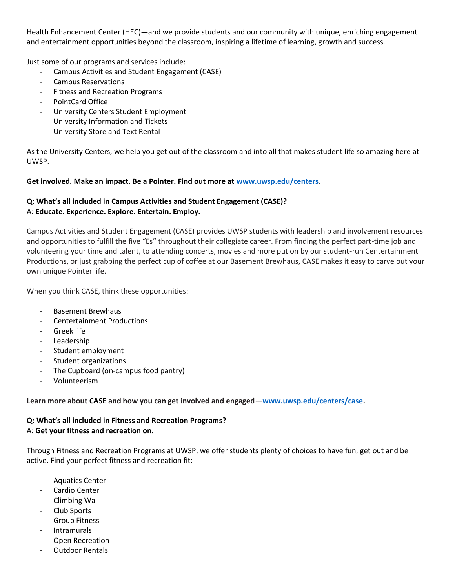Health Enhancement Center (HEC)—and we provide students and our community with unique, enriching engagement and entertainment opportunities beyond the classroom, inspiring a lifetime of learning, growth and success.

Just some of our programs and services include:

- Campus Activities and Student Engagement (CASE)
- Campus Reservations
- Fitness and Recreation Programs
- PointCard Office
- University Centers Student Employment
- University Information and Tickets
- University Store and Text Rental

As the University Centers, we help you get out of the classroom and into all that makes student life so amazing here at UWSP.

#### **Get involved. Make an impact. Be a Pointer. Find out more at [www.uwsp.edu/centers.](http://www.uwsp.edu/centers)**

### **Q: What's all included in Campus Activities and Student Engagement (CASE)?** A: **Educate. Experience. Explore. Entertain. Employ.**

Campus Activities and Student Engagement (CASE) provides UWSP students with leadership and involvement resources and opportunities to fulfill the five "Es" throughout their collegiate career. From finding the perfect part-time job and volunteering your time and talent, to attending concerts, movies and more put on by our student-run Centertainment Productions, or just grabbing the perfect cup of coffee at our Basement Brewhaus, CASE makes it easy to carve out your own unique Pointer life.

When you think CASE, think these opportunities:

- Basement Brewhaus
- Centertainment Productions
- Greek life
- Leadership
- Student employment
- Student organizations
- The Cupboard (on-campus food pantry)
- Volunteerism

**Learn more about CASE and how you can get involved and engaged—[www.uwsp.edu/centers/case.](http://www.uwsp.edu/centers/case)** 

#### **Q: What's all included in Fitness and Recreation Programs?** A: **Get your fitness and recreation on.**

Through Fitness and Recreation Programs at UWSP, we offer students plenty of choices to have fun, get out and be active. Find your perfect fitness and recreation fit:

- Aquatics Center
- Cardio Center
- Climbing Wall
- Club Sports
- Group Fitness
- **Intramurals**
- Open Recreation
- Outdoor Rentals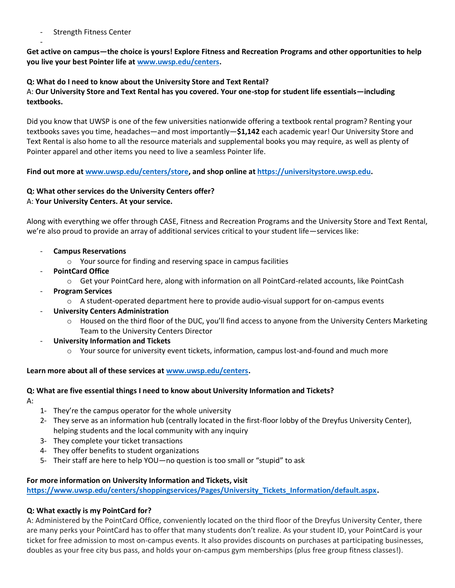Strength Fitness Center

-

**Get active on campus—the choice is yours! Explore Fitness and Recreation Programs and other opportunities to help you live your best Pointer life a[t www.uwsp.edu/centers.](http://www.uwsp.edu/centers)**

### **Q: What do I need to know about the University Store and Text Rental?**

A: **Our University Store and Text Rental has you covered. Your one-stop for student life essentials—including textbooks.**

Did you know that UWSP is one of the few universities nationwide offering a textbook rental program? Renting your textbooks saves you time, headaches—and most importantly—**\$1,142** each academic year! Our University Store and Text Rental is also home to all the resource materials and supplemental books you may require, as well as plenty of Pointer apparel and other items you need to live a seamless Pointer life.

**Find out more a[t www.uwsp.edu/centers/store,](http://www.uwsp.edu/centers/store) and shop online a[t https://universitystore.uwsp.edu.](https://universitystore.uwsp.edu/)**

# **Q: What other services do the University Centers offer?**

#### A: **Your University Centers. At your service.**

Along with everything we offer through CASE, Fitness and Recreation Programs and the University Store and Text Rental, we're also proud to provide an array of additional services critical to your student life—services like:

- **Campus Reservations**
	- o Your source for finding and reserving space in campus facilities
- **PointCard Office**
	- o Get your PointCard here, along with information on all PointCard-related accounts, like PointCash
- **Program Services**
	- $\circ$  A student-operated department here to provide audio-visual support for on-campus events
- **University Centers Administration**
	- $\circ$  Housed on the third floor of the DUC, you'll find access to anyone from the University Centers Marketing Team to the University Centers Director
- **University Information and Tickets**
	- o Your source for university event tickets, information, campus lost-and-found and much more

### **Learn more about all of these services a[t www.uwsp.edu/centers.](http://www.uwsp.edu/centers)**

# **Q: What are five essential things I need to know about University Information and Tickets?**

- A:
- 1- They're the campus operator for the whole university
- 2- They serve as an information hub (centrally located in the first-floor lobby of the Dreyfus University Center), helping students and the local community with any inquiry
- 3- They complete your ticket transactions
- 4- They offer benefits to student organizations
- 5- Their staff are here to help YOU—no question is too small or "stupid" to ask

#### **For more information on University Information and Tickets, visit**

**[https://www.uwsp.edu/centers/shoppingservices/Pages/University\\_Tickets\\_Information/default.aspx.](https://www.uwsp.edu/centers/shoppingservices/Pages/University_Tickets_Information/default.aspx)** 

### **Q: What exactly is my PointCard for?**

A: Administered by the PointCard Office, conveniently located on the third floor of the Dreyfus University Center, there are many perks your PointCard has to offer that many students don't realize. As your student ID, your PointCard is your ticket for free admission to most on-campus events. It also provides discounts on purchases at participating businesses, doubles as your free city bus pass, and holds your on-campus gym memberships (plus free group fitness classes!).